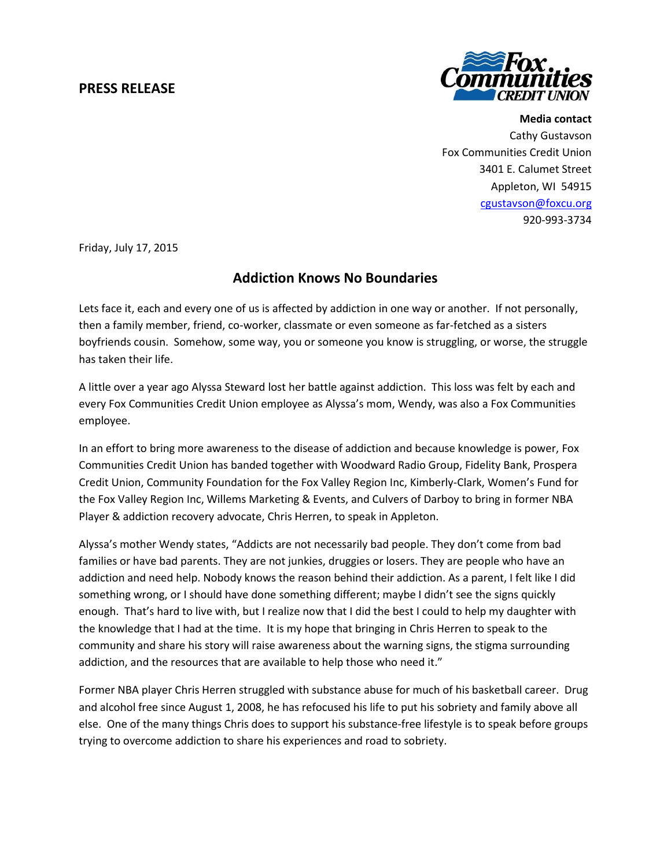## **PRESS RELEASE**



**Media contact** Cathy Gustavson Fox Communities Credit Union 3401 E. Calumet Street Appleton, WI 54915 [cgustavson@foxcu.org](mailto:cgustavson@foxcu.org) 920-993-3734

Friday, July 17, 2015

## **Addiction Knows No Boundaries**

Lets face it, each and every one of us is affected by addiction in one way or another. If not personally, then a family member, friend, co-worker, classmate or even someone as far-fetched as a sisters boyfriends cousin. Somehow, some way, you or someone you know is struggling, or worse, the struggle has taken their life.

A little over a year ago Alyssa Steward lost her battle against addiction. This loss was felt by each and every Fox Communities Credit Union employee as Alyssa's mom, Wendy, was also a Fox Communities employee.

In an effort to bring more awareness to the disease of addiction and because knowledge is power, Fox Communities Credit Union has banded together with Woodward Radio Group, Fidelity Bank, Prospera Credit Union, Community Foundation for the Fox Valley Region Inc, Kimberly-Clark, Women's Fund for the Fox Valley Region Inc, Willems Marketing & Events, and Culvers of Darboy to bring in former NBA Player & addiction recovery advocate, Chris Herren, to speak in Appleton.

Alyssa's mother Wendy states, "Addicts are not necessarily bad people. They don't come from bad families or have bad parents. They are not junkies, druggies or losers. They are people who have an addiction and need help. Nobody knows the reason behind their addiction. As a parent, I felt like I did something wrong, or I should have done something different; maybe I didn't see the signs quickly enough. That's hard to live with, but I realize now that I did the best I could to help my daughter with the knowledge that I had at the time. It is my hope that bringing in Chris Herren to speak to the community and share his story will raise awareness about the warning signs, the stigma surrounding addiction, and the resources that are available to help those who need it."

Former NBA player Chris Herren struggled with substance abuse for much of his basketball career. Drug and alcohol free since August 1, 2008, he has refocused his life to put his sobriety and family above all else. One of the many things Chris does to support his substance-free lifestyle is to speak before groups trying to overcome addiction to share his experiences and road to sobriety.